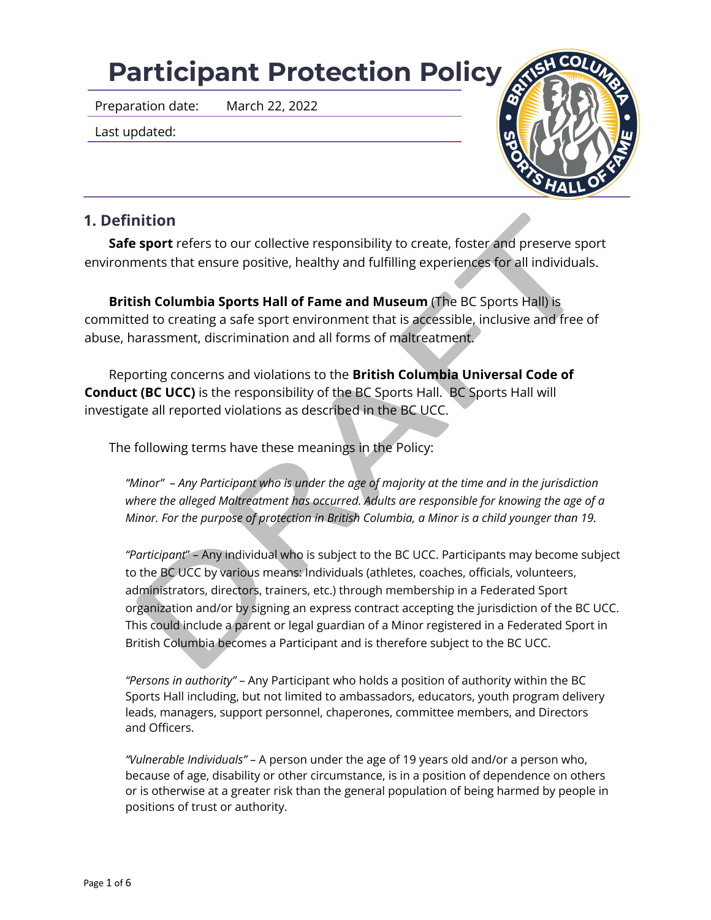# **Participant Protection Policy**

Preparation date: March 22, 2022

Last updated:



# **1. Definition**

**Safe sport** refers to our collective responsibility to create, foster and preserve sport environments that ensure positive, healthy and fulfilling experiences for all individuals.

**British Columbia Sports Hall of Fame and Museum** (The BC Sports Hall) is committed to creating a safe sport environment that is accessible, inclusive and free of abuse, harassment, discrimination and all forms of maltreatment.

Reporting concerns and violations to the **British Columbia Universal Code of Conduct (BC UCC)** is the responsibility of the BC Sports Hall. BC Sports Hall will investigate all reported violations as described in the BC UCC.

The following terms have these meanings in the Policy:

*"Minor" – Any Participant who is under the age of majority at the time and in the jurisdiction where the alleged Maltreatment has occurred. Adults are responsible for knowing the age of a Minor. For the purpose of protection in British Columbia, a Minor is a child younger than 19.*

**nition**<br> **sport** refers to our collective responsibility to create, foster and preserve sponents that ensure positive, healthy and fulfilling experiences for all individuals<br> **ish Columbia Sports Hall of Fame and Museum (** *"Participant*" – Any individual who is subject to the BC UCC. Participants may become subject to the BC UCC by various means: Individuals (athletes, coaches, officials, volunteers, administrators, directors, trainers, etc.) through membership in a Federated Sport organization and/or by signing an express contract accepting the jurisdiction of the BC UCC. This could include a parent or legal guardian of a Minor registered in a Federated Sport in British Columbia becomes a Participant and is therefore subject to the BC UCC.

*"Persons in authority"* – Any Participant who holds a position of authority within the BC Sports Hall including, but not limited to ambassadors, educators, youth program delivery leads, managers, support personnel, chaperones, committee members, and Directors and Officers.

*"Vulnerable Individuals"* – A person under the age of 19 years old and/or a person who, because of age, disability or other circumstance, is in a position of dependence on others or is otherwise at a greater risk than the general population of being harmed by people in positions of trust or authority.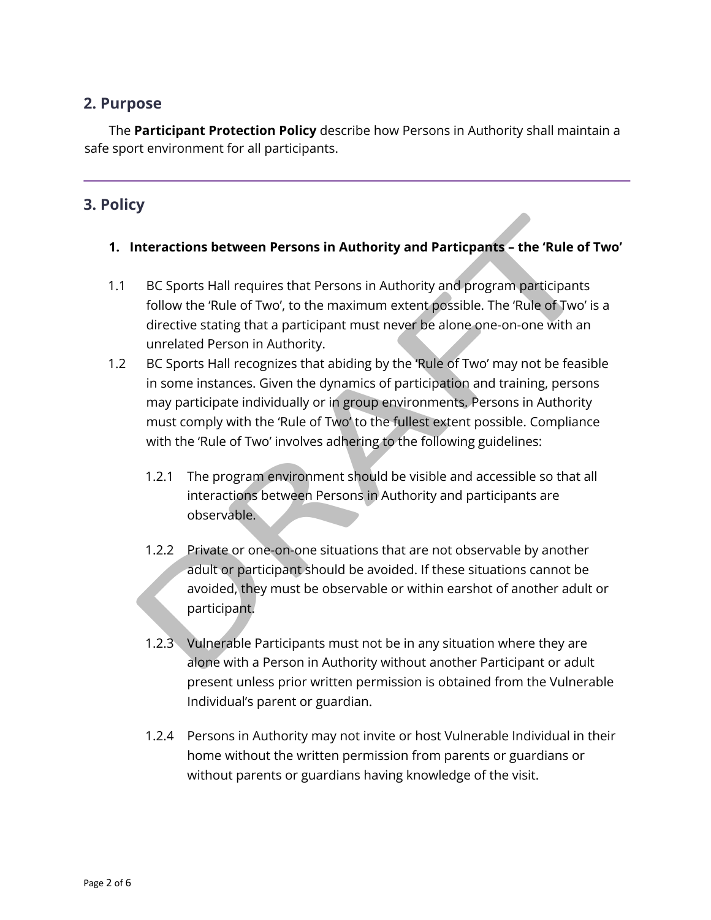## **2. Purpose**

The **Participant Protection Policy** describe how Persons in Authority shall maintain a safe sport environment for all participants.

# **3. Policy**

#### **1. Interactions between Persons in Authority and Particpants – the 'Rule of Two'**

- 1.1 BC Sports Hall requires that Persons in Authority and program participants follow the 'Rule of Two', to the maximum extent possible. The 'Rule of Two' is a directive stating that a participant must never be alone one-on-one with an unrelated Person in Authority.
- nteractions between Persons in Authority and Particpants the 'Rule of<br>
BC Sports Hall requires that Persons in Authority and program participants<br>
follow the 'Rule of Two', to the maximum extent possible. The 'Rule of Tw 1.2 BC Sports Hall recognizes that abiding by the 'Rule of Two' may not be feasible in some instances. Given the dynamics of participation and training, persons may participate individually or in group environments. Persons in Authority must comply with the 'Rule of Two' to the fullest extent possible. Compliance with the 'Rule of Two' involves adhering to the following guidelines:
	- 1.2.1 The program environment should be visible and accessible so that all interactions between Persons in Authority and participants are observable.
	- 1.2.2 Private or one-on-one situations that are not observable by another adult or participant should be avoided. If these situations cannot be avoided, they must be observable or within earshot of another adult or participant.
	- 1.2.3 Vulnerable Participants must not be in any situation where they are alone with a Person in Authority without another Participant or adult present unless prior written permission is obtained from the Vulnerable Individual's parent or guardian.
	- 1.2.4 Persons in Authority may not invite or host Vulnerable Individual in their home without the written permission from parents or guardians or without parents or guardians having knowledge of the visit.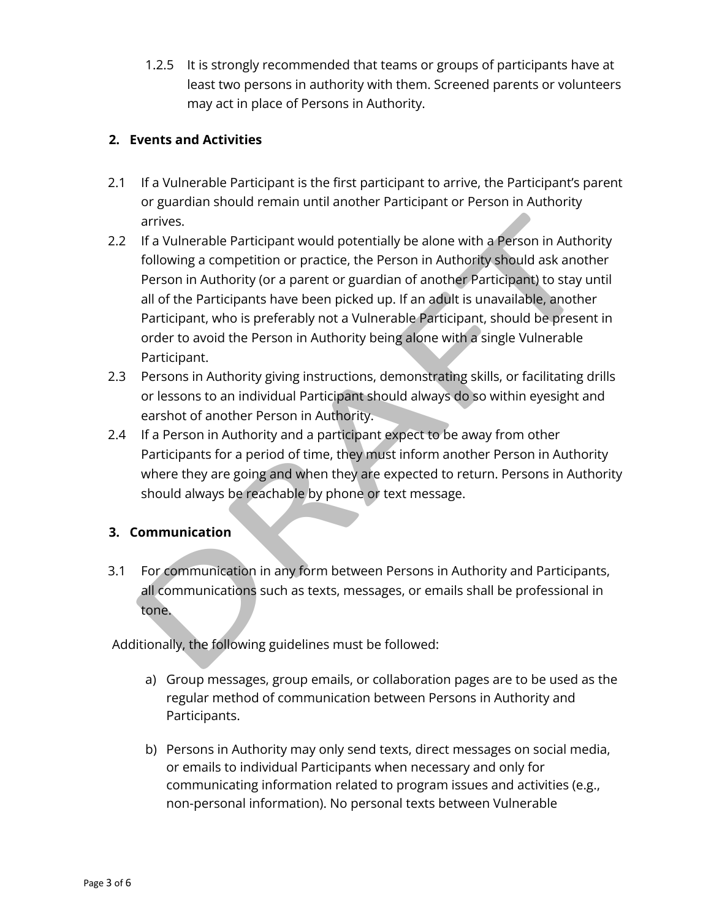1.2.5 It is strongly recommended that teams or groups of participants have at least two persons in authority with them. Screened parents or volunteers may act in place of Persons in Authority.

#### **2. Events and Activities**

- 2.1 If a Vulnerable Participant is the first participant to arrive, the Participant's parent or guardian should remain until another Participant or Person in Authority arrives.
- arrives.<br>
If a Vulnerable Participant would potentially be alone with a Person in Author<br>
following a competition or practice, the Person in Authority should ask anot<br>
following a competition or practice, the Person in Aut 2.2 If a Vulnerable Participant would potentially be alone with a Person in Authority following a competition or practice, the Person in Authority should ask another Person in Authority (or a parent or guardian of another Participant) to stay until all of the Participants have been picked up. If an adult is unavailable, another Participant, who is preferably not a Vulnerable Participant, should be present in order to avoid the Person in Authority being alone with a single Vulnerable Participant.
- 2.3 Persons in Authority giving instructions, demonstrating skills, or facilitating drills or lessons to an individual Participant should always do so within eyesight and earshot of another Person in Authority.
- 2.4 If a Person in Authority and a participant expect to be away from other Participants for a period of time, they must inform another Person in Authority where they are going and when they are expected to return. Persons in Authority should always be reachable by phone or text message.

#### **3. Communication**

3.1 For communication in any form between Persons in Authority and Participants, all communications such as texts, messages, or emails shall be professional in tone.

Additionally, the following guidelines must be followed:

- a) Group messages, group emails, or collaboration pages are to be used as the regular method of communication between Persons in Authority and Participants.
- b) Persons in Authority may only send texts, direct messages on social media, or emails to individual Participants when necessary and only for communicating information related to program issues and activities (e.g., non-personal information). No personal texts between Vulnerable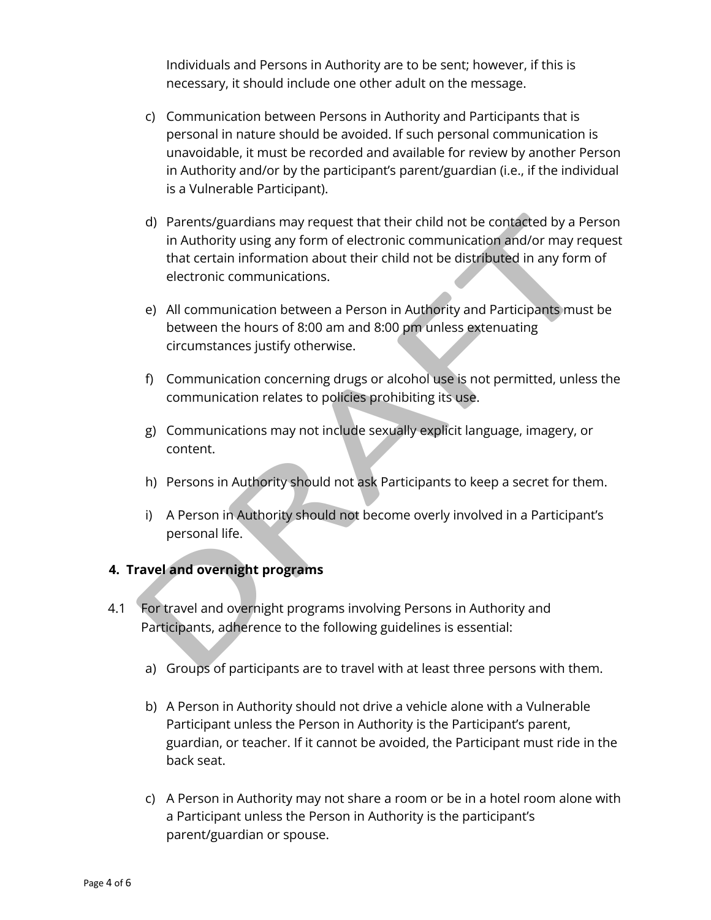Individuals and Persons in Authority are to be sent; however, if this is necessary, it should include one other adult on the message.

- c) Communication between Persons in Authority and Participants that is personal in nature should be avoided. If such personal communication is unavoidable, it must be recorded and available for review by another Person in Authority and/or by the participant's parent/guardian (i.e., if the individual is a Vulnerable Participant).
- d) Parents/guardians may request that their child not be contacted by a Pe<br>
in Authority using any form of electronic communication and/or may red<br>
that certain information about their child not be distributed in any form<br> d) Parents/guardians may request that their child not be contacted by a Person in Authority using any form of electronic communication and/or may request that certain information about their child not be distributed in any form of electronic communications.
	- e) All communication between a Person in Authority and Participants must be between the hours of 8:00 am and 8:00 pm unless extenuating circumstances justify otherwise.
	- f) Communication concerning drugs or alcohol use is not permitted, unless the communication relates to policies prohibiting its use.
	- g) Communications may not include sexually explicit language, imagery, or content.
	- h) Persons in Authority should not ask Participants to keep a secret for them.
	- i) A Person in Authority should not become overly involved in a Participant's personal life.

## **4. Travel and overnight programs**

- 4.1 For travel and overnight programs involving Persons in Authority and Participants, adherence to the following guidelines is essential:
	- a) Groups of participants are to travel with at least three persons with them.
	- b) A Person in Authority should not drive a vehicle alone with a Vulnerable Participant unless the Person in Authority is the Participant's parent, guardian, or teacher. If it cannot be avoided, the Participant must ride in the back seat.
	- c) A Person in Authority may not share a room or be in a hotel room alone with a Participant unless the Person in Authority is the participant's parent/guardian or spouse.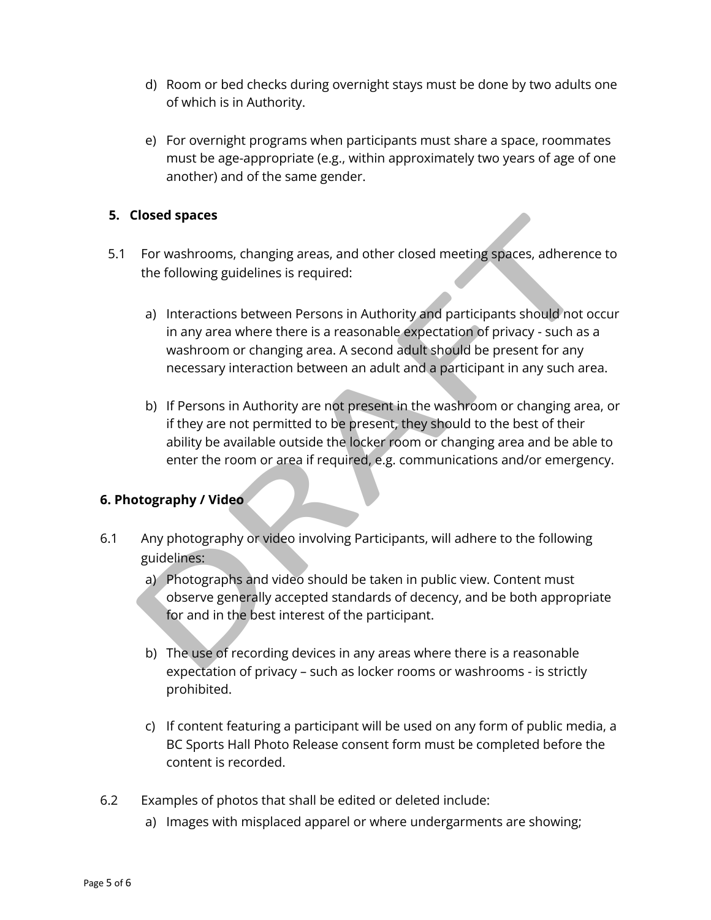- d) Room or bed checks during overnight stays must be done by two adults one of which is in Authority.
- e) For overnight programs when participants must share a space, roommates must be age-appropriate (e.g., within approximately two years of age of one another) and of the same gender.

#### **5. Closed spaces**

- 5.1 For washrooms, changing areas, and other closed meeting spaces, adherence to the following guidelines is required:
	- a) Interactions between Persons in Authority and participants should not occur in any area where there is a reasonable expectation of privacy - such as a washroom or changing area. A second adult should be present for any necessary interaction between an adult and a participant in any such area.
- Cosed spaces<br>
For washrooms, changing areas, and other closed meeting spaces, adherence<br>
the following guidelines is required:<br>
a) Interactions between Persons in Authority and participants should not o<br>
in any area where b) If Persons in Authority are not present in the washroom or changing area, or if they are not permitted to be present, they should to the best of their ability be available outside the locker room or changing area and be able to enter the room or area if required, e.g. communications and/or emergency.

## **6. Photography / Video**

- 6.1 Any photography or video involving Participants, will adhere to the following guidelines:
	- a) Photographs and video should be taken in public view. Content must observe generally accepted standards of decency, and be both appropriate for and in the best interest of the participant.
	- b) The use of recording devices in any areas where there is a reasonable expectation of privacy – such as locker rooms or washrooms - is strictly prohibited.
	- c) If content featuring a participant will be used on any form of public media, a BC Sports Hall Photo Release consent form must be completed before the content is recorded.
- 6.2 Examples of photos that shall be edited or deleted include:
	- a) Images with misplaced apparel or where undergarments are showing;